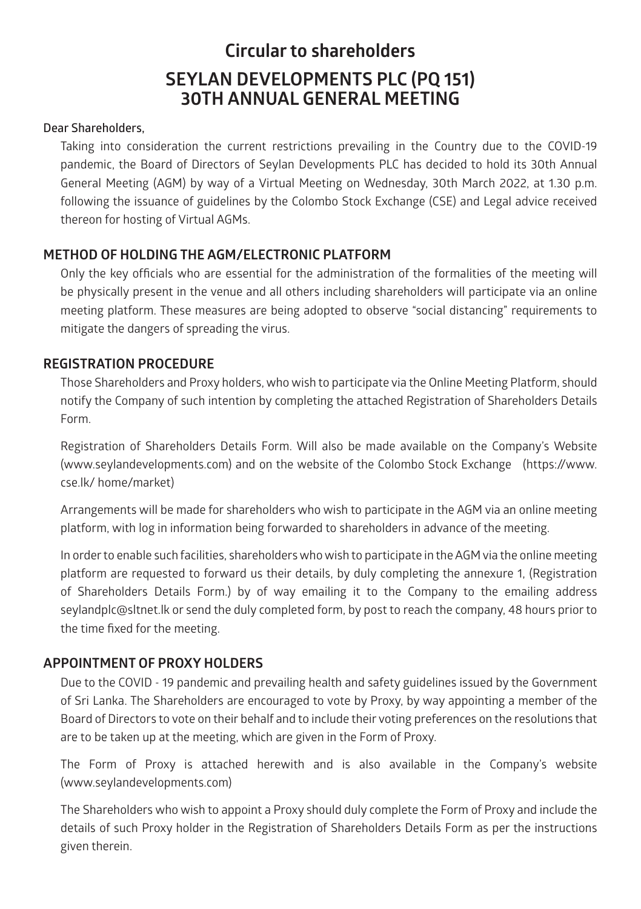# **Circular to shareholders SEYLAN DEVELOPMENTS PLC (PQ 151) 30TH ANNUAL GENERAL MEETING**

#### **Dear Shareholders,**

Taking into consideration the current restrictions prevailing in the Country due to the COVID-19 pandemic, the Board of Directors of Seylan Developments PLC has decided to hold its 30th Annual General Meeting (AGM) by way of a Virtual Meeting on Wednesday, 30th March 2022, at 1.30 p.m. following the issuance of guidelines by the Colombo Stock Exchange (CSE) and Legal advice received thereon for hosting of Virtual AGMs.

#### **METHOD OF HOLDING THE AGM/ELECTRONIC PLATFORM**

Only the key officials who are essential for the administration of the formalities of the meeting will be physically present in the venue and all others including shareholders will participate via an online meeting platform. These measures are being adopted to observe "social distancing" requirements to mitigate the dangers of spreading the virus.

#### **REGISTRATION PROCEDURE**

Those Shareholders and Proxy holders, who wish to participate via the Online Meeting Platform, should notify the Company of such intention by completing the attached Registration of Shareholders Details Form.

Registration of Shareholders Details Form. Will also be made available on the Company's Website (www.seylandevelopments.com) and on the website of the Colombo Stock Exchange (https://www. cse.lk/ home/market)

Arrangements will be made for shareholders who wish to participate in the AGM via an online meeting platform, with log in information being forwarded to shareholders in advance of the meeting.

In order to enable such facilities, shareholders who wish to participate in the AGM via the online meeting platform are requested to forward us their details, by duly completing the annexure 1, (Registration of Shareholders Details Form.) by of way emailing it to the Company to the emailing address seylandplc@sltnet.lk or send the duly completed form, by post to reach the company, 48 hours prior to the time fixed for the meeting.

## **APPOINTMENT OF PROXY HOLDERS**

Due to the COVID - 19 pandemic and prevailing health and safety guidelines issued by the Government of Sri Lanka. The Shareholders are encouraged to vote by Proxy, by way appointing a member of the Board of Directors to vote on their behalf and to include their voting preferences on the resolutions that are to be taken up at the meeting, which are given in the Form of Proxy.

The Form of Proxy is attached herewith and is also available in the Company's website (www.seylandevelopments.com)

The Shareholders who wish to appoint a Proxy should duly complete the Form of Proxy and include the details of such Proxy holder in the Registration of Shareholders Details Form as per the instructions given therein.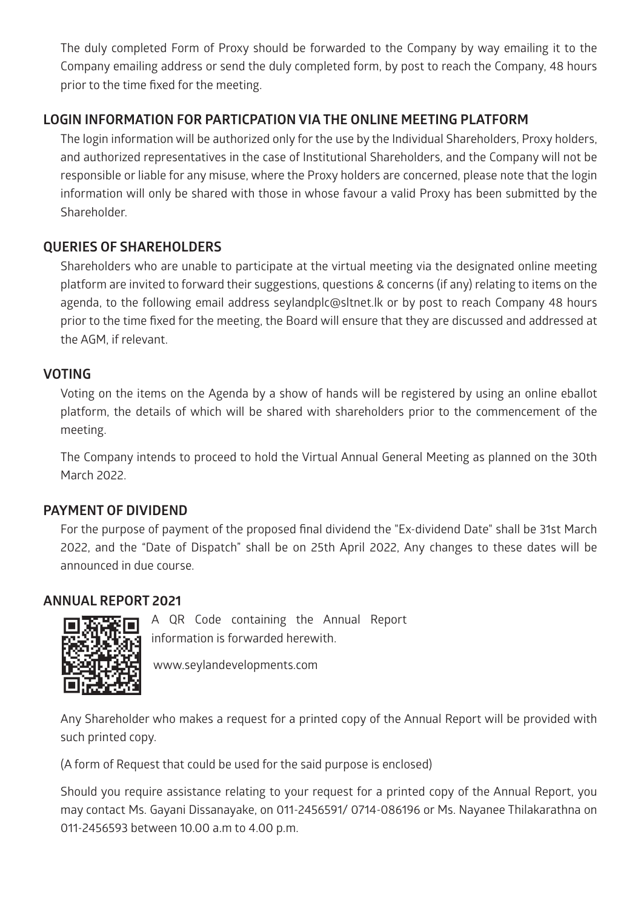The duly completed Form of Proxy should be forwarded to the Company by way emailing it to the Company emailing address or send the duly completed form, by post to reach the Company, 48 hours prior to the time fixed for the meeting.

# **LOGIN INFORMATION FOR PARTICPATION VIA THE ONLINE MEETING PLATFORM**

The login information will be authorized only for the use by the Individual Shareholders, Proxy holders, and authorized representatives in the case of Institutional Shareholders, and the Company will not be responsible or liable for any misuse, where the Proxy holders are concerned, please note that the login information will only be shared with those in whose favour a valid Proxy has been submitted by the Shareholder.

## **QUERIES OF SHAREHOLDERS**

Shareholders who are unable to participate at the virtual meeting via the designated online meeting platform are invited to forward their suggestions, questions & concerns (if any) relating to items on the agenda, to the following email address seylandplc@sltnet.lk or by post to reach Company 48 hours prior to the time fixed for the meeting, the Board will ensure that they are discussed and addressed at the AGM, if relevant.

## **VOTING**

Voting on the items on the Agenda by a show of hands will be registered by using an online eballot platform, the details of which will be shared with shareholders prior to the commencement of the meeting.

The Company intends to proceed to hold the Virtual Annual General Meeting as planned on the 30th March 2022.

# **PAYMENT OF DIVIDEND**

For the purpose of payment of the proposed final dividend the "Ex-dividend Date" shall be 31st March 2022, and the "Date of Dispatch" shall be on 25th April 2022, Any changes to these dates will be announced in due course.

# **ANNUAL REPORT 2021**



A QR Code containing the Annual Report information is forwarded herewith.

www.seylandevelopments.com

Any Shareholder who makes a request for a printed copy of the Annual Report will be provided with such printed copy.

(A form of Request that could be used for the said purpose is enclosed)

Should you require assistance relating to your request for a printed copy of the Annual Report, you may contact Ms. Gayani Dissanayake, on 011-2456591/ 0714-086196 or Ms. Nayanee Thilakarathna on 011-2456593 between 10.00 a.m to 4.00 p.m.